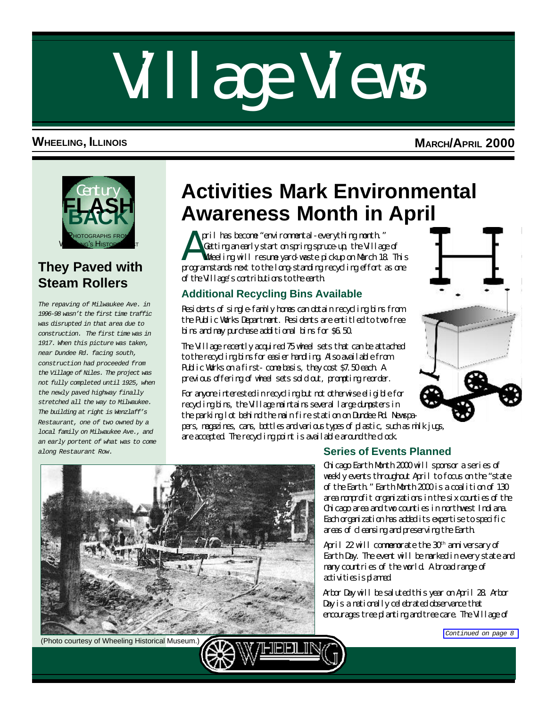# <span id="page-0-0"></span>Village Views

#### **WHEELING, ILLINOIS MARCH/APRIL 2000**



#### **They Paved with Steam Rollers**

*The repaving of Milwaukee Ave. in 1996-98 wasn't the first time traffic was disrupted in that area due to construction. The first time was in 1917. When this picture was taken, near Dundee Rd. facing south, construction had proceeded from the Village of Niles. The project was not fully completed until 1925, when the newly paved highway finally stretched all the way to Milwaukee. The building at right is Wenzlaff's Restaurant, one of two owned by a local family on Milwaukee Ave., and an early portent of what was to come along Restaurant Row.*

### **Activities Mark Environmental Awareness Month in April**

A pril has become "environmental-everything month." Getting an early start on spring spruce-up, the Village of Wheeling will resume yard-waste pickup on March 18. This program stands next to the long-standing recycling effort as one of the Village's contributions to the earth.

#### **Additional Recycling Bins Available**

Residents of single-family homes can obtain recycling bins from the Public Works Department. Residents are entitled to two free bins and may purchase additional bins for \$6.50.

The Village recently acquired 75 wheel sets that can be attached to the recycling bins for easier handling. Also available from Public Works on a first- come basis, they cost \$7.50 each. A previous offering of wheel sets sold out, prompting reorder.

For anyone interested in recycling but not otherwise eligible for recycling bins, the Village maintains several large dumpsters in the parking lot behind the main fire station on Dundee Rd. Newspapers, magazines, cans, bottles and various types of plastic, such as milk jugs, are accepted. The recycling point is available around the clock.



#### (Photo courtesy of Wheeling Historical Museum.)

#### **Series of Events Planned**

Chicago Earth Month 2000 will sponsor a series of weekly events throughout April to focus on the "state of the Earth." Earth Month 2000 is a coalition of 130 area nonprofit organizations in the six counties of the Chicago area and two counties in northwest Indiana. Each organization has added its expertise to specific areas of cleansing and preserving the Earth.

April 22 will commemorate the 30<sup>th</sup> anniversary of Earth Day. The event will be marked in every state and many countries of the world. A broad range of activities is planned.

Arbor Day will be saluted this year on April 28. Arbor Day is a nationally celebrated observance that encourages tree planting and tree care. The Village of

*[Continued on page 8](#page-7-0)*

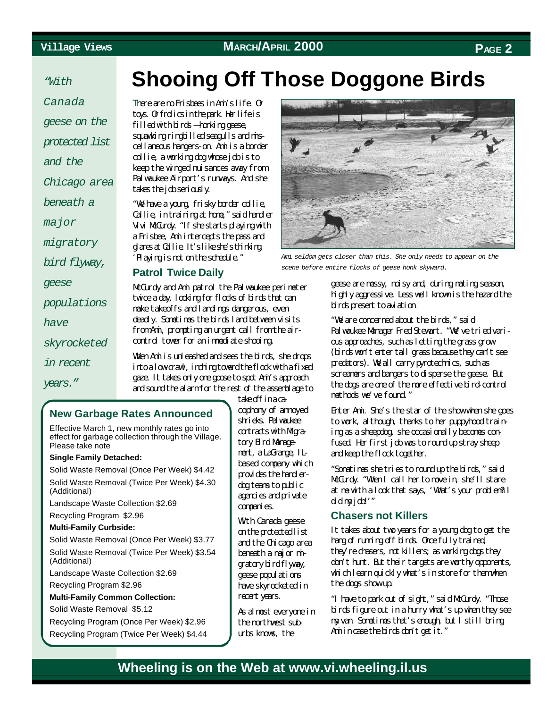*"With*

*Canada geese on the protected list and the Chicago area beneath a major migratory bird flyway, geese populations have skyrocketed in recent years."*

### **Shooing Off Those Doggone Birds**

There are no Frisbees in Ami's life. Or toys. Or frolics in the park. Her life is filled with birds — honking geese, squawking ringbilled seagulls and miscellaneous hangers-on. Ami is a border collie, a working dog whose job is to keep the winged nuisances away from Palwaukee Airport's runways. And she takes the job seriously.

"We have a young, frisky border collie, Callie, in training at home," said handler Vivi McCurdy. "If she starts playing with a Frisbee, Ami intercepts the pass and glares at Callie. It's like she's thinking 'Playing is not on the schedule."

#### **Patrol Twice Daily**

McCurdy and Ami patrol the Palwaukee perimeter twice a day, looking for flocks of birds that can make takeoffs and landings dangerous, even deadly. Sometimes the birds land between visits from Ami, prompting an urgent call from the aircontrol tower for an immediate shooing.

When Ami is unleashed and sees the birds, she drops into a low-crawl, inching toward the flock with a fixed gaze. It takes only one goose to spot Ami's approach and sound the alarm for the rest of the assemblage to

#### **New Garbage Rates Announced**

Effective March 1, new monthly rates go into effect for garbage collection through the Village. Please take note

#### **Single Family Detached:**

Solid Waste Removal (Once Per Week) \$4.42 Solid Waste Removal (Twice Per Week) \$4.30 (Additional)

Landscape Waste Collection \$2.69

#### Recycling Program \$2.96

**Multi-Family Curbside:**

Solid Waste Removal (Once Per Week) \$3.77 Solid Waste Removal (Twice Per Week) \$3.54

(Additional)

Landscape Waste Collection \$2.69 Recycling Program \$2.96

#### **Multi-Family Common Collection:**

Solid Waste Removal \$5.12

Recycling Program (Once Per Week) \$2.96 Recycling Program (Twice Per Week) \$4.44 take off in a cacophony of annoyed shrieks. Palwaukee  $contrats with Mgra$ tory Bird Management, a LaGrange, ILbased company which provides the handlerdog teams to public agencies and private companies.

With Canada geese on the protected list and the Chicago area beneath a major migratory bird flyway, geese populations have skyrocketed in recent years.

As almost everyone in the northwest suburbs knows, the



*Ami seldom gets closer than this. She only needs to appear on the scene before entire flocks of geese honk skyward.*

geese are messy, noisy and, during mating season, highly aggressive. Less well known is the hazard the birds present to aviation.

"We are concerned about the birds," said Palwaukee Manager Fred Stewart. "We've tried various approaches, such as letting the grass grow (birds won't enter tall grass because they can't see predators). We all carry pyrotechnics, such as screamers and bangers to disperse the geese. But the dogs are one of the more effective bird-control methods we've found."

Enter Ami. She's the star of the show when she goes to work, although, thanks to her puppyhood training as a sheepdog, she occasionally becomes confused. Her first job was to round up stray sheep and keep the flock together.

"Sometimes she tries to round up the birds," said McCurdy. "When I call her to move in, she'll stare at me with a look that says, 'What's your problem? I did my job!"

#### **Chasers not Killers**

It takes about two years for a young dog to get the hang of running off birds. Once fully trained, they're chasers, not killers; as working dogs they don't hunt. But their targets are worthy opponents, which learn quickly what's in store for them when the dogs show up.

"I have to park out of sight," said McCurdy. "Those birds figure out in a hurry what's up when they see my van. Sometimes that's enough, but I still bring Ami in case the birds don't get it."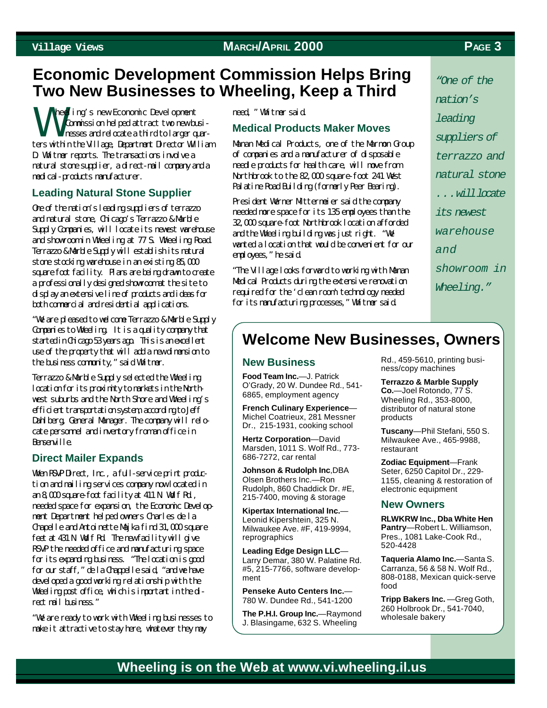### **Economic Development Commission Helps Bring Two New Businesses to Wheeling, Keep a Third**

W heeling's new Economic Development Commission helped attract two new businesses and relocate a third to larger quarters within the Village, Department Director William D. Whitmer reports. The transactions involve a natural stone supplier, a direct-mail company and a medical-products manufacturer.

#### **Leading Natural Stone Supplier**

One of the nation's leading suppliers of terrazzo and natural stone, Chicago's Terrazzo & Marble Supply Companies, will locate its newest warehouse and showroom in Wheeling at 77 S. Wheeling Road. Terrazzo & Marble Supply will establish its natural stone stocking warehouse in an existing 85,000 square foot facility. Plans are being drawn to create a professionally designed showroom at the site to display an extensive line of products and ideas for both commercial and residential applications.

"We are pleased to welcome Terrazzo & Marble Supply Companies to Wheeling. It is a quality company that started in Chicago 53 years ago. This is an excellent use of the property that will add a new dimension to the business community," said Whitmer.

Terrazzo & Marble Supply selected the Wheeling location for its proximity to markets in the Northwest suburbs and the North Shore and Wheeling's efficient transportation system, according to Jeff Dahlberg, General Manager. The company will relocate personnel and inventory from an office in **Bensenville.** 

#### **Direct Mailer Expands**

When RSVP Direct, Inc., a full-service print production and mailing services company now located in an 8,000 square-foot facility at 411 N. Wolf Rd., needed space for expansion, the Economic Development Department helped owners Charles de la Chapelle and Antoinette Majka find 31,000 square feet at 431 N. Wolf Rd. The new facility will give RSVP the needed office and manufacturing space for its expanding business. "The location is good for our staff," de la Chappelle said, "and we have developed a good working relationship with the Wheeling post office, which is important in the direct mail business."

"We are ready to work with Wheeling businesses to make it attractive to stay here, whatever they may

#### need, " Whitmer said.

#### **Medical Products Maker Moves**

Manan Medical Products, one of the Marmon Group of companies and a manufacturer of disposable needle products for health care, will move from Northbrook to the 82,000 square-foot 241 West Palatine Road Building (formerly Peer Bearing).

President Werner Mittermeier said the company needed more space for its 135 employees than the 32,000 square-foot Northbrook location afforded and the Wheeling building was just right. "We wanted a location that would be convenient for our emloyees," he said.

"The Village looks forward to working with Manan Medical Products during the extensive renovation required for the 'clean room' technology needed for its manufacturing processes," Whitmer said.

*"One of the nation's leading suppliers of terrazzo and natural stone . . . will locate its newest warehouse and showroom in Wheeling."*

#### **Welcome New Businesses, Owners**

#### **New Business**

**Food Team Inc.**—J. Patrick O'Grady, 20 W. Dundee Rd., 541- 6865, employment agency

**French Culinary Experience**— Michel Coatrieux, 281 Messner Dr., 215-1931, cooking school

**Hertz Corporation**—David Marsden, 1011 S. Wolf Rd., 773- 686-7272, car rental

**Johnson & Rudolph Inc**,DBA Olsen Brothers Inc.—Ron Rudolph, 860 Chaddick Dr. #E, 215-7400, moving & storage

**Kipertax International Inc.**— Leonid Kipershtein, 325 N. Milwaukee Ave. #F, 419-9994, reprographics

**Leading Edge Design LLC**— Larry Demar, 380 W. Palatine Rd. #5, 215-7766, software development

**Penseke Auto Centers Inc.**— 780 W. Dundee Rd., 541-1200

**The P.H.I. Group Inc.**—Raymond J. Blasingame, 632 S. Wheeling

Rd., 459-5610, printing business/copy machines

**Terrazzo & Marble Supply Co.**—Joel Rotondo, 77 S. Wheeling Rd., 353-8000, distributor of natural stone products

**Tuscany**—Phil Stefani, 550 S. Milwaukee Ave., 465-9988, restaurant

**Zodiac Equipment**—Frank Seter, 6250 Capitol Dr., 229- 1155, cleaning & restoration of electronic equipment

#### **New Owners**

**RLWKRW Inc., Dba White Hen Pantry**—Robert L. Williamson, Pres., 1081 Lake-Cook Rd., 520-4428

**Taqueria Alamo Inc.**—Santa S. Carranza, 56 & 58 N. Wolf Rd., 808-0188, Mexican quick-serve food

**Tripp Bakers Inc.** —Greg Goth, 260 Holbrook Dr., 541-7040, wholesale bakery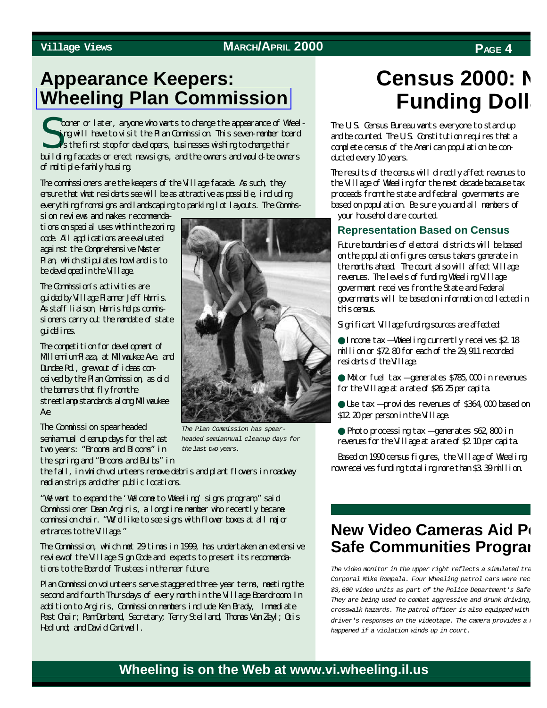### **Appearance Keepers: [Wheeling Plan Commission](http://wheelingil.gov/government/BoardsAndCommissions/BoardsAndCommissions.htm#Planning Commission)**

Sooner or later, anyone who wants to change the appearance of Wheel-<br>ing will have to visit the Plan Commission. This seven member board<br>is the first stop for developers, businesses wishing to change their ing will have to visit the Plan Commission. This seven-member board is the first stop for developers, businesses wishing to change their building facades or erect new signs, and the owners and would-be owners of multiple-family housing.

The commissioners are the keepers of the Village facade. As such, they ensure that what residents see will be as attractive as possible, including everything from signs and landscaping to parking lot layouts. The Commis-

sion reviews and makes recommendations on special uses within the zoning code. All applications are evaluated against the Comprehensive Master Plan, which stipulates how land is to be developed in the Village.

The Commission's activities are guided by Village Planner Jeff Harris. As staff liaison, Harris helps commissioners carry out the mandate of state guidelines.

The competition for development of Millennium Plaza, at Milwaukee Ave. and Dundee Rd., grew out of ideas conceived by the Plan Commission, as did the banners that fly from the streetlamp standards along Milwaukee Ave.

The Commission spearheaded semiannual cleanup days for the last two years: "Brooms and Blooms" in the spring and "Brooms and Bulbs" in



"We want to expand the 'Welcome to Wheeling' signs program," said Commissioner Dean Argiris, a longtime member who recently became commission chair. "We'd like to see signs with flower boxes at all major entrances to the Village."

The Commission, which met 29 times in 1999, has undertaken an extensive review of the Village Sign Code and expects to present its recommendations to the Board of Trustees in the near future.

Plan Commission volunteers serve staggered three-year terms, meeting the second and fourth Thursdays of every month in the Village Boardroom. In addition to Argiris, Commission members include Ken Brady, Immediate Past Chair; Pam Dorband, Secretary; Terry Steiland, Thomas Van Zeyl; Otis Hedlund; and David Cantwell.

*The Plan Commission has spearheaded semiannual cleanup days for the last two years.*

### **Census 2000: N Funding Doll**

The U.S. Census Bureau wants everyone to stand up and be counted. The U.S. Constitution requires that a complete census of the American population be conducted every 10 years.

The results of the census will directly affect revenues to the Village of Wheeling for the next decade because tax proceeds from the state and federal governments are based on population. Be sure you and all members of your household are counted.

#### **Representation Based on Census**

Future boundaries of electoral districts will be based on the population figures census takers generate in the months ahead. The count also will affect Village revenues. The levels of funding Wheeling Village government receives from the State and Federal governments will be based on information collected in this census.

Significant Village funding sources are affected:

● Income tax — Wheeling currently receives \$2.18 million or \$72.80 for each of the 29,911 recorded residents of the Village.

● Motor fuel tax — generates \$785,000 in revenues for the Village at a rate of \$26.25 per capita.

● Use tax — provides revenues of \$364,000 based on \$12.20 per person in the Village.

● Photo processing tax — generates \$62,800 in revenues for the Village at a rate of \$2.10 per capita.

Based on 1990 census figures, the Village of Wheeling now receives funding totaling more than \$3.39 million.

#### **New Video Cameras Aid Po Safe Communities Prograi**

The video monitor in the upper right reflects a simulated tra *Corporal Mike Rompala. Four Wheeling patrol cars were rec*  $$3,600$  video units as part of the Police Department's Safe *They are being used to combat aggressive and drunk driving, crosswalk hazards. The patrol officer is also equipped with driver's responses on the videotape. The camera provides a happened if a violation winds up in court.*

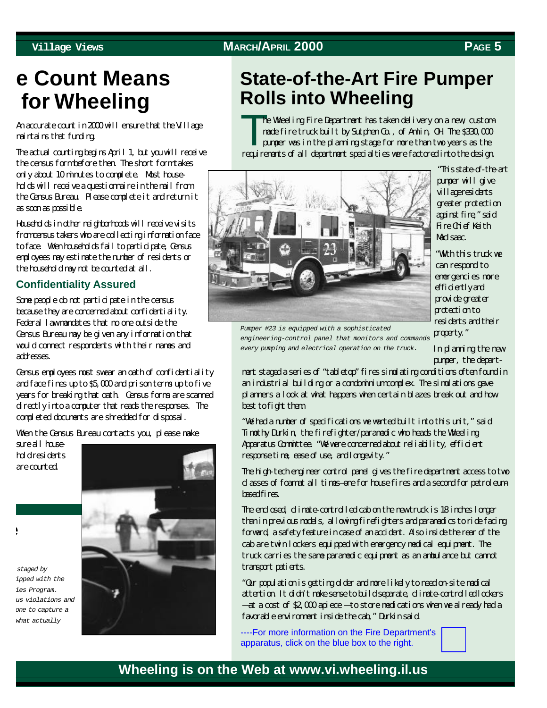### **e Count Means for Wheeling**

An accurate count in 2000 will ensure that the Village maintains that funding.

The actual counting begins April 1, but you will receive the census form before then. The short form takes only about 10 minutes to complete. Most households will receive a questionnaire in the mail from the Census Bureau. Please complete it and return it as soon as possible.

Households in other neighborhoods will receive visits from census takers who are collecting information face to face. When households fail to participate, Census employees may estimate the number of residents or the household may not be counted at all.

#### **Confidentiality Assured**

Some people do not participate in the census because they are concerned about confidentiality. Federal law mandates that no one outside the Census Bureau may be given any information that would connect respondents with their names and addresses.

Census employees must swear an oath of confidentiality and face fines up to \$5,000 and prison terms up to five years for breaking that oath. Census forms are scanned directly into a computer that reads the responses. The completed documents are shredded for disposal.

When the Census Bureau contacts you, please make

sure all household residents are counted.



### **State-of-the-Art Fire Pumper Rolls into Wheeling**

T<sup>h</sup> he Wheeling Fire Department has taken delivery on a new, custommade fire truck built by Sutphen Co., of Amlin, OH. The \$330,000 pumper was in the planning stage for more than two years as the requirements of all department specialties were factored into the design.



"This state-of-the-art pumper will give village residents greater protection against fire," said Fire Chief Keith MacIssac.

"With this truck we can respond to emergencies more efficiently and provide greater protection to residents and their property."

*Pumper #23 is equipped with a sophisticated engineering-control panel that monitors and commands every pumping and electrical operation on the truck.*

In planning the new pumper, the depart-

ment staged a series of "tabletop" fires simulating conditions often found in an industrial building or a condominium complex. The simulations gave planners a look at what happens when certain blazes break out and how best to fight them.

"We had a number of specifications we wanted built into this unit," said Timothy Durkin, the firefighter/paramedic who heads the Wheeling Apparatus Committee. "We were concerned about reliability, efficient response time, ease of use, and longevity."

The high-tech engineer control panel gives the fire department access to two classes of foam at all times-one for house fires and a second for petroleum**based** fires.

The enclosed, climate-controlled cab on the new truck is 18 inches longer than in previous models, allowing firefighters and paramedics to ride facing forward, a safety feature in case of an accident. Also inside the rear of the cab are twin lockers equipped with emergency medical equipment. The truck carries the same paramedic equipment as an ambulance but cannot transport patients.

"Our population is getting older and more likely to need on-site medical attention. It didn't make sense to build separate, climate-controlled lockers — at a cost of \$2,000 apiece — to store medications when we already had a favorable environment inside the cab," Durkin said.

----For more information on the Fire Department's apparatus, click on the blue box to the right.

#### **Wheeling is on the Web at www.vi.wheeling.il.us**

**e**

*The video monitor in the upper right reflects a simulated traffic stop staged by Corporal Mike Rompala. Four Wheeling patrol cars were recently equipped with the \$3,600 video units as part of the Police Department's Safe Communities Program. They are being used to combat aggressive and drunk driving, school bus violations and crosswalk hazards. The patrol officer is also equipped with a microphone to capture a* what actually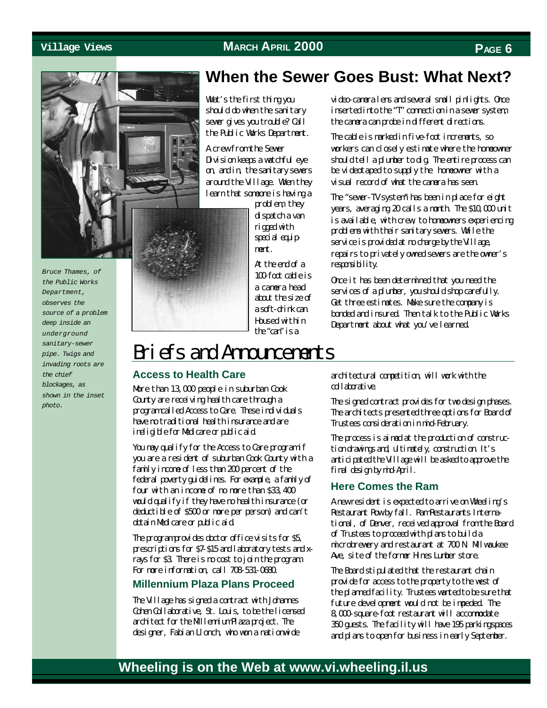

*Bruce Thames, of the Public Works Department, observes the source of a problem deep inside an underground sanitary-sewer pipe. Twigs and invading roots are the chief blockages, as shown in the inset photo.*

Division keeps a watchful eye on, and in, the sanitary sewers around the Village. When they learn that someone is having a problem, they dispatch a van rigged with special equipment. At the end of a

What's the first thing you should do when the sanitary sewer gives you trouble? Call the Public Works Department.

A crew from the Sewer

100-foot cable is a camera head about the size of a soft-drink can. Housed within the "can" is a

#### **When the Sewer Goes Bust: What Next?**

video-camera lens and several small pinlights. Once inserted into the "T" connection in a sewer system, the camera can probe in different directions.

The cable is marked in five-foot increments, so workers can closely estimate where the homeowner should tell a plumber to dig. The entire process can be videotaped to supply the homeowner with a visual record of what the camera has seen.

The "sewer-TV system" has been in place for eight years, averaging 20 calls a month. The \$10,000 unit is available, with crew, to homeowners experiencing problems with their sanitary sewers. While the service is provided at no charge by the Village, repairs to privately owned sewers are the owner's responsibility.

Once it has been determined that you need the services of a plumber, you should shop carefully. Get three estimates. Make sure the company is bonded and insured. Then talk to the Public Works Department about what you've learned.

### Briefs and Announcements

#### **Access to Health Care**

More than 13,000 people in suburban Cook County are receiving health care through a program called Access to Care. These individuals have no traditional health insurance and are ineligible for Medicare or public aid.

You may qualify for the Access to Care program if you are a resident of suburban Cook County with a family income of less than 200 percent of the federal poverty guidelines. For example, a family of four with an income of no more than \$33,400 would qualify if they have no health insurance (or deductible of \$500 or more per person) and can't obtain Medicare or public aid.

The program provides doctor of fice visits for \$5, prescriptions for \$7-\$15 and laboratory tests and xrays for \$3. There is no cost to join the program. For more information, call 708-531-0680.

#### **Millennium Plaza Plans Proceed**

The Village has signed a contract with Johannes Cohen Collaborative, St. Louis, to be the licensed architect for the Millennium Plaza project. The designer, Fabian Llonch, who won a nationwide

architectural competition, will work with the collaborative.

The signed contract provides for two design phases. The architects presented three options for Board of Trustees consideration in mid-February.

The process is aimed at the production of construction drawings and, ultimately, construction. It's anticipated the Village will be asked to approve the final design by mid-April.

#### **Here Comes the Ram**

A new resident is expected to arrive on Wheeling's Restaurant Row by fall. Ram Restaurants International, of Denver, received approval from the Board of Trustees to proceed with plans to build a microbrewery and restaurant at 700 N. Milwaukee Ave, site of the former Hines Lumber store.

The Board stipulated that the restaurant chain provide for access to the property to the west of the planned facility. Trustees wanted to be sure that future development would not be impeded. The 8,000-square-foot restaurant will accommodate 350 guests. The facility will have 195 parking spaces and plans to open for business in early September.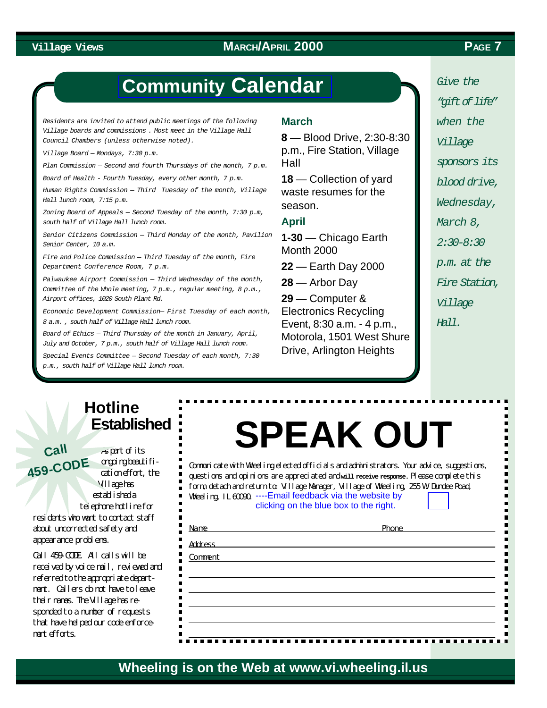#### **Village Views PAGE 7 MARCH/APRIL 2000**

### **Community [Calendar](http://wheelingil.gov/Community/Calendar.htm)**

*Residents are invited to attend public meetings of the following Village boards and commissions . Most meet in the Village Hall Council Chambers (unless otherwise noted).*

*Village Board — Mondays, 7:30 p.m.*

*Plan Commission — Second and fourth Thursdays of the month, 7 p.m.*

*Board of Health - Fourth Tuesday, every other month, 7 p.m.*

*Human Rights Commission — Third Tuesday of the month, Village Hall lunch room, 7:15 p.m.*

*Zoning Board of Appeals — Second Tuesday of the month, 7:30 p.m, south half of Village Hall lunch room.*

*Senior Citizens Commission — Third Monday of the month, Pavilion Senior Center, 10 a.m.*

*Fire and Police Commission — Third Tuesday of the month, Fire Department Conference Room, 7 p.m.*

*Palwaukee Airport Commission — Third Wednesday of the month, Committee of the Whole meeting, 7 p.m., regular meeting, 8 p.m., Airport offices, 1020 South Plant Rd.*

*Economic Development Commission— First Tuesday of each month, 8 a.m. , south half of Village Hall lunch room.*

*Board of Ethics — Third Thursday of the month in January, April, July and October, 7 p.m., south half of Village Hall lunch room.*

*Special Events Committee — Second Tuesday of each month, 7:30 p.m., south half of Village Hall lunch room.*

#### **March**

**8** — Blood Drive, 2:30-8:30 p.m., Fire Station, Village Hall

**18** — Collection of yard waste resumes for the season.

#### **April**

**1-30** — Chicago Earth Month 2000

**22** — Earth Day 2000

**28** — Arbor Day

**29** — Computer & Electronics Recycling Event, 8:30 a.m. - 4 p.m., Motorola, 1501 West Shure Drive, Arlington Heights

*Give the "gift of life" when the Village sponsors its blood drive, Wednesday, March 8, 2:30-8:30 p.m. at the Fire Station, Village Hall.*

### **Hotline Established**

As part of its ongoing beautification effort, the Village has established a telephone hotline for residents who want to contact staff about uncorrected safety and appearance problems. **Call 459-COD<sup>E</sup>**

Call 459-CODE. All calls will be received by voice mail, reviewed and referred to the appropriate department. Callers do not have to leave their names. The Village has responded to a number of requests that have helped our code enforcement efforts.

# **SPEAK OUT**

Communicate with Wheeling elected officials and administrators. Your advice, suggestions, questions and opinions are appreciated and **will receive response.** Please complete this form, detach and return to: Village Manager, Village of Wheeling, 255 W. Dundee Road, Wheeling, IL 60090. ----Email feedback via the website by

clicking on the blue box to the right.

| <b>Name</b><br><u>experimental product</u> and the contract of the contract of the contract of the contract of the contract of the con | Phone |  |
|----------------------------------------------------------------------------------------------------------------------------------------|-------|--|
| Address <b>Address</b>                                                                                                                 |       |  |
| Comment                                                                                                                                |       |  |
|                                                                                                                                        |       |  |
|                                                                                                                                        |       |  |
|                                                                                                                                        |       |  |
|                                                                                                                                        |       |  |